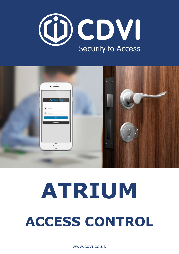



# **ACCESS CONTROL ATRIUM**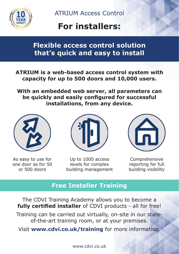

# **For installers:**

# **Flexible access control solution that's quick and easy to install**

**ATRIUM is a web-based access control system with capacity for up to 500 doors and 10,000 users.**

**With an embedded web server, all parameters can be quickly and easily configured for successful installations, from any device.**



As easy to use for one door as for 50 or 500 doors



Up to 1000 access levels for complex building management



Comprehensive reporting for full building visibility

### **Free Installer Training**

The CDVI Training Academy allows you to become a **fully certified installer** of CDVI products - all for free! Training can be carried out virtually, on-site in our stateof-the-art training room, or at your premises.

Visit **[www.cdvi.co.uk/trainin](https://www.cdvi.co.uk/training)[g](https://cdvi.co.uk/training)** for more information.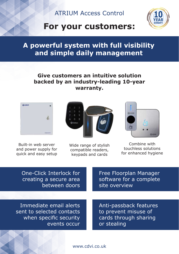

# **For your customers:**

# **A powerful system with full visibility and simple daily management**

#### **Give customers an intuitive solution backed by an industry-leading 10-year warranty.**



Built-in web server and power supply for quick and easy setup



Wide range of stylish compatible readers, keypads and cards



Combine with touchless solutions for enhanced hygiene

| One-Click Interlock for |
|-------------------------|
| creating a secure area  |
| between doors           |

Free Floorplan Manager software for a complete site overview

Immediate email alerts sent to selected contacts when specific security events occur

Anti-passback features to prevent misuse of cards through sharing or stealing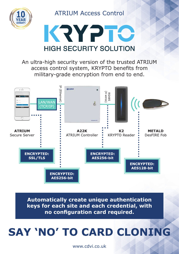



An ultra-high security version of the trusted ATRIUM access control system, KRYPTO benefits from military-grade encryption from end to end.



**Automatically create unique authentication keys for each site and each credential, with no configuration card required.** 

# **SAY 'NO' TO CARD CLONING**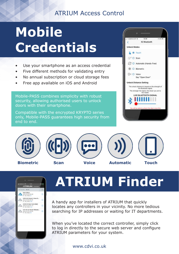# **Mobile Credentials**

- Use your smartphone as an access credential
- Five different methods for validating entry
- No annual subscription or cloud storage fees
- Free app available on iOS and Android

Mobile-PASS combines simplicity with robust security, allowing authorised users to unlock doors with their smartphone.

Compatible with the encrypted KRYPTO series only, Mobile-PASS guarantees high security from end to end.







# **ATRIUM Finder**

A handy app for installers of ATRIUM that quickly locates any controllers in your vicinity. No more tedious searching for IP addresses or waiting for IT departments.

When you've located the correct controller, simply click to log in directly to the secure web server and configure ATRIUM parameters for your system.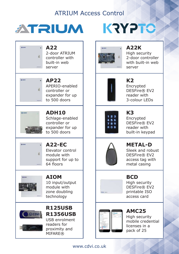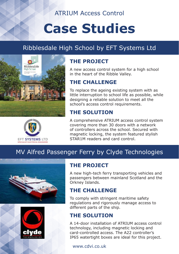# **Case Studies**

# Ribblesdale High School by EFT Systems Ltd





### **THE PROJECT**

A new access control system for a high school in the heart of the Ribble Valley.

#### **THE CHALLENGE**

To replace the ageing existing system with as little interruption to school life as possible, while designing a reliable solution to meet all the school's access control requirements.

### **THE SOLUTION**

A comprehensive ATRIUM access control system covering more than 30 doors with a network of controllers across the school. Secured with magnetic locking, the system featured stylish STAR1M readers and card control.

# MV Alfred Passenger Ferry by Clyde Technologies





#### **THE PROJECT**

A new high-tech ferry transporting vehicles and passengers between mainland Scotland and the Orkney Islands.

#### **THE CHALLENGE**

To comply with stringent maritime safety regulations and rigorously manage access to different parts of the ship.

#### **THE SOLUTION**

A 14-door installation of ATRIUM access control technology, including magnetic locking and card-controlled access. The A22 controller's IP65 watertight boxes are ideal for this project.